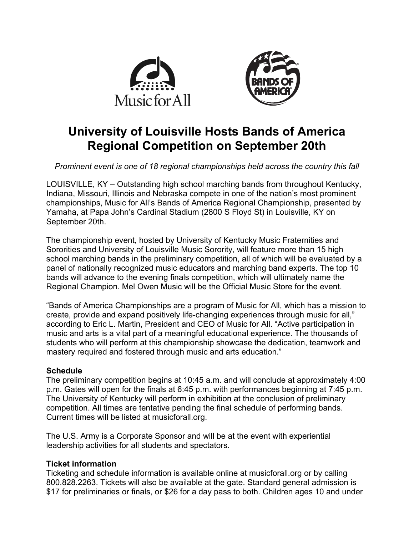



# **University of Louisville Hosts Bands of America Regional Competition on September 20th**

*Prominent event is one of 18 regional championships held across the country this fall*

LOUISVILLE, KY – Outstanding high school marching bands from throughout Kentucky, Indiana, Missouri, Illinois and Nebraska compete in one of the nation's most prominent championships, Music for All's Bands of America Regional Championship, presented by Yamaha, at Papa John's Cardinal Stadium (2800 S Floyd St) in Louisville, KY on September 20th.

The championship event, hosted by University of Kentucky Music Fraternities and Sororities and University of Louisville Music Sorority, will feature more than 15 high school marching bands in the preliminary competition, all of which will be evaluated by a panel of nationally recognized music educators and marching band experts. The top 10 bands will advance to the evening finals competition, which will ultimately name the Regional Champion. Mel Owen Music will be the Official Music Store for the event.

"Bands of America Championships are a program of Music for All, which has a mission to create, provide and expand positively life-changing experiences through music for all," according to Eric L. Martin, President and CEO of Music for All. "Active participation in music and arts is a vital part of a meaningful educational experience. The thousands of students who will perform at this championship showcase the dedication, teamwork and mastery required and fostered through music and arts education."

# **Schedule**

The preliminary competition begins at 10:45 a.m. and will conclude at approximately 4:00 p.m. Gates will open for the finals at 6:45 p.m. with performances beginning at 7:45 p.m. The University of Kentucky will perform in exhibition at the conclusion of preliminary competition. All times are tentative pending the final schedule of performing bands. Current times will be listed at musicforall.org.

The U.S. Army is a Corporate Sponsor and will be at the event with experiential leadership activities for all students and spectators.

# **Ticket information**

Ticketing and schedule information is available online at musicforall.org or by calling 800.828.2263. Tickets will also be available at the gate. Standard general admission is \$17 for preliminaries or finals, or \$26 for a day pass to both. Children ages 10 and under